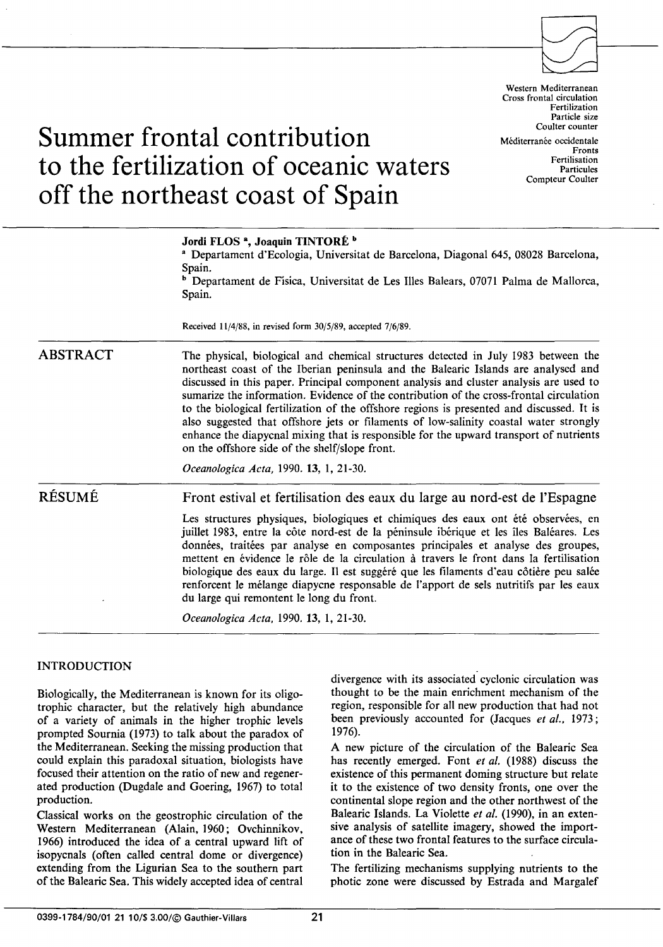

Western Mediterranean Cross frontal circulation Fertilization Particle size Coulter counter Méditerranée occidentale Fronts Fertilisation Particules Compteur Coulter

# **Summer frontal contribution to the fertilization of oceanic waters off the northeast coast of Spain**

| Received $11/4/88$ , in revised form $30/5/89$ , accepted $7/6/89$ .<br>The physical, biological and chemical structures detected in July 1983 between the<br>northeast coast of the Iberian peninsula and the Balearic Islands are analysed and<br>discussed in this paper. Principal component analysis and cluster analysis are used to                                                                                                                                                                                                                                                                                          |
|-------------------------------------------------------------------------------------------------------------------------------------------------------------------------------------------------------------------------------------------------------------------------------------------------------------------------------------------------------------------------------------------------------------------------------------------------------------------------------------------------------------------------------------------------------------------------------------------------------------------------------------|
|                                                                                                                                                                                                                                                                                                                                                                                                                                                                                                                                                                                                                                     |
| sumarize the information. Evidence of the contribution of the cross-frontal circulation<br>to the biological fertilization of the offshore regions is presented and discussed. It is<br>also suggested that offshore jets or filaments of low-salinity coastal water strongly<br>enhance the diapycnal mixing that is responsible for the upward transport of nutrients<br>on the offshore side of the shelf/slope front.<br>Oceanologica Acta, 1990. 13, 1, 21-30.                                                                                                                                                                 |
| Front estival et fertilisation des eaux du large au nord-est de l'Espagne                                                                                                                                                                                                                                                                                                                                                                                                                                                                                                                                                           |
| Les structures physiques, biologiques et chimiques des eaux ont été observées, en<br>juillet 1983, entre la côte nord-est de la péninsule ibérique et les îles Baléares. Les<br>données, traitées par analyse en composantes principales et analyse des groupes,<br>mettent en évidence le rôle de la circulation à travers le front dans la fertilisation<br>biologique des eaux du large. Il est suggéré que les filaments d'eau côtière peu salée<br>renforcent le mélange diapycne responsable de l'apport de sels nutritifs par les eaux<br>du large qui remontent le long du front.<br>Oceanologica Acta, 1990. 13, 1, 21-30. |
|                                                                                                                                                                                                                                                                                                                                                                                                                                                                                                                                                                                                                                     |

# INTRODUCTION

Biologically, the Mediterranean is known for its oligotrophic character, but the relatively high abundance of a variety of animais in the higher trophic levels prompted Sournia (1973) to talk about the paradox of the Mediterranean. Seeking the missing production that could explain this paradoxal situation, biologists have focused their attention on the ratio of new and regenerated production (Dugdale and Goering, 1967) to total production.

Classical works on the geostrophic circulation of the Western Mediterranean (Alain, 1960; Ovchinnikov, 1966) introduced the idea of a central upward lift of isopycnals (often called central dome or divergence) extending from the Ligurian Sea to the southern part of the Balearic Sea. This widely accepted idea of central

divergence with its associated cyclonic circulation was thought to be the main enrichment mechanism of the region, responsible for all new production that had not been previously accounted for (Jacques *et al.,* 1973; 1976).

A new picture of the circulation of the Balearic Sea has recently emerged. Font *et al.* (1988) discuss the existence of this permanent doming structure but relate it to the existence of two density fronts, one over the continental slope region and the other northwest of the Balearic Islands. La Violette *et al.* (1990), in an extensive analysis of satellite imagery, showed the importance of these two frontal features to the surface circulation in the Balearic Sea.

The fertilizing mechanisms supplying nutrients to the photic zone were discussed by Estrada and Margalef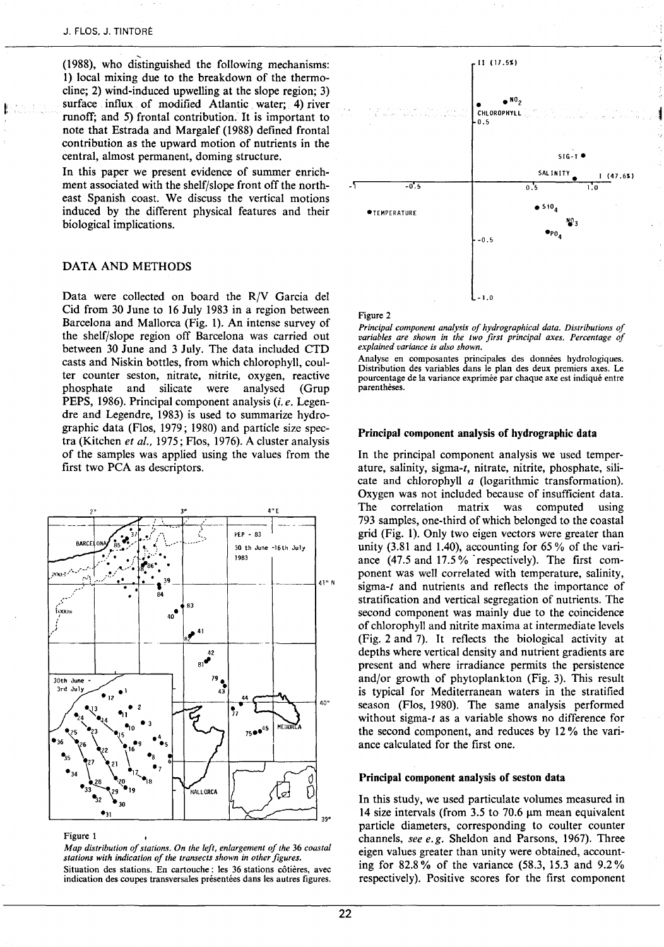(1988), who distinguished the following mechanisms: 1) local mixing due to the breakdown of the thermocline; 2) wind-induced upwelling at the slope region; 3) surface influx of modified Atlantic water; 4) river runoff; and 5) frontal contribution. It is important to note that Estrada and Margalef (1988) defined frontal contribution as the upward motion of nutrients in the central, almost permanent, doming structure.

In this paper we present evidence of summer enrichment associated with the shelf/slope front off the northeast Spanish coast. We discuss the vertical motions induced by the different physical features and their biological implications.

# DATA AND METHODS

Data were collected on board the R/V Garcia del Cid from 30 June to 16 July 1983 in a region between Barcelona and Mallorca (Fig. 1). An intense survey of the shelf/slope region off Barcelona was carried out between 30 June and 3 July. The data included CTD casts and Niskin botties, from which chlorophyll, coutter counter seston, nitrate, nitrite, oxygen, reactive<br>phosphate and silicate were analysed (Grup phosphate and silicate were analysed PEPS, 1986). Principal component analysis *(i.e.* Legendre and Legendre, 1983) is used to summarize hydrographie data (Flos, 1979; 1980) and particle size spectra (Kitchen *et al.,* 1975; Flos, 1976). A cluster analysis of the samples was applied using the values from the first two PCA as descriptors.



### Figure 1

*Map distribution of stations. On the left, enlargement of the 36 coastal stations with indication of the transects shawn in other figures.*  Situation des stations. En cartouche : les 36 stations côtières, avec indication des coupes transversales présentées dans les autres figures.



Figure 2

*Principal component analysis of hydrographical data. Distributions of variables are shawn in the two first principal axes. Percentage of explained variance* is *also shown.* 

Analyse en composantes principales des données hydrologiques. Distribution des variables dans le plan des deux premiers axes. Le pourcentage de la variance exprimée par chaque axe est indiqué entre parenthèses.

# Principal component analysis of hydrographie data

In the principal component analysis we used temperature, salinity, sigma-t, nitrate, nitrite, phosphate, silicate and chlorophyll *a* (logarithmic transformation). Oxygen was not included because of insufficient data. The correlation matrix was computed using 793 samples, one-third of which belonged to the coastal grid (Fig. 1). Only two eigen vectors were greater than unity  $(3.81 \text{ and } 1.40)$ , accounting for 65% of the variance (47.5 and 17.5% respectively). The first component was well correlated with temperature, salinity, sigma-t and nutrients and reflects the importance of stratification and vertical segregation of nutrients. The second component was mainly due to the coincidence of chlorophyll and nitrite maxima at intermediate levels (Fig. 2 and 7). It reflects the biological activity at depths where vertical density and nutrient gradients are present and where irradiance permits the persistence and/or growth of phytoplankton (Fig. 3). This result is typical for Mediterranean waters in the stratified season (Flos, 1980). The same analysis performed without sigma-t as a variable shows no difference for the second component, and reduces by 12% the variance calculated for the first one.

### Principal component analysis of seston data

In this study, we used particulate volumes measured in 14 size intervals (from  $3.5$  to 70.6  $\mu$ m mean equivalent particle diameters, corresponding to coulter counter channels, *see e.g.* Sheldon and Parsons, 1967). Three eigen values greater than unity were obtained, accounting for 82.8% of the variance (58.3, 15.3 and 9.2% respectively). Positive scores for the first component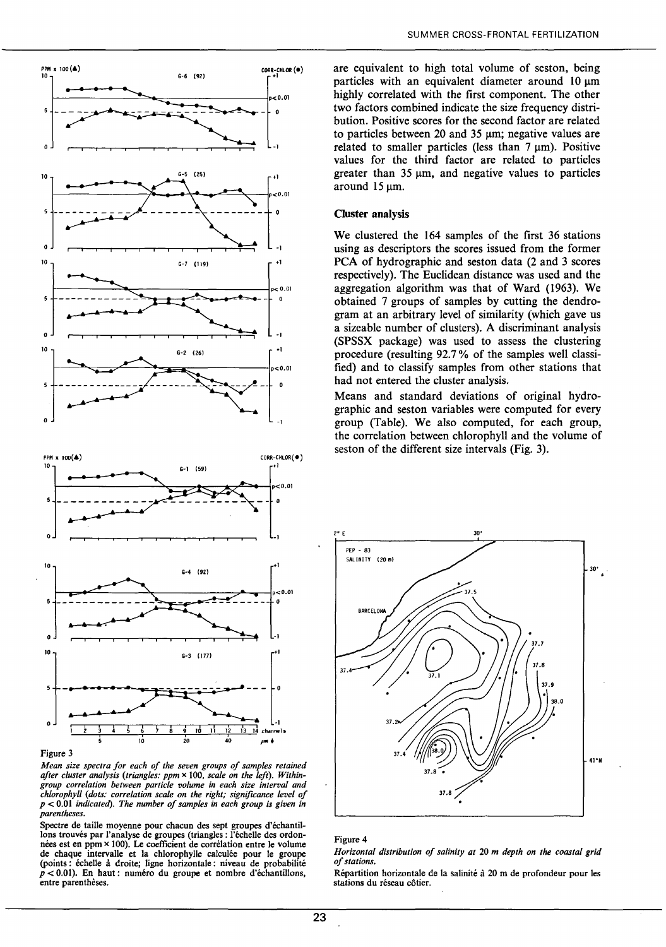



*Mean size spectra for each of the seven groups of samples retained after cluster analysis (triangles: ppm* x 100, *scale on the left). Withingroup correlation between particle volume in each size interval and chlorophyll (dots: correlation scale on the right; significance leve/ of p* < 0.01 *indicated). The number of samples in each group is given in parentheses.* 

Spectre de taille moyenne pour chacun des sept groupes d'échantillons trouvés par l'analyse de groupes (triangles: l'échelle des ordonnées est en ppm x lOO). Le coefficient de corrélation entre le volume de chaque intervalle et la chlorophylle calculée pour le groupe (points : échelle à droite; ligne horizontale : niveau de probabilité *p* < 0.01). En haut: numéro du groupe et nombre d'échantillons, entre parenthèses.

are equivalent to high total volume of seston, being particles with an equivalent diameter around  $10~\mathrm{nm}$ highly correlated with the first component. The other two factors combined indicate the size frequency distribution. Positive scores for the second factor are related to particles between 20 and 35  $\mu$ m; negative values are related to smaller particles (less than  $7 \mu m$ ). Positive values for the third factor are related to particles greater than  $35 \mu m$ , and negative values to particles around  $15 \text{ µm}$ .

# Cluster analysis

We clustered the 164 samples of the first 36 stations using as descriptors the scores issued from the former PCA of hydrographie and seston data (2 and 3 scores respectively). The Euclidean distance was used and the aggregation algorithm was that of Ward (1963). We obtained 7 groups of samples by cutting the dendrogram at an arbitrary level of similarity (which gave us a sizeable number of clusters). A discriminant analysis (SPSSX package) was used to assess the clustering procedure (resulting 92.7 % of the samples weil classified) and to classify samples from other stations that had not entered the cluster analysis.

Means and standard deviations of original hydrographie and seston variables were computed for every group (Table). We also computed, for each group, the correlation between chlorophyll and the volume of seston of the different size intervals (Fig. 3).



### Figure 4

*Horizontal distribution of sa/inity at* 20 *m depth on the coastal grid of stations.* 

Répartition horizontale de la salinité à 20 m de profondeur pour les stations du réseau côtier.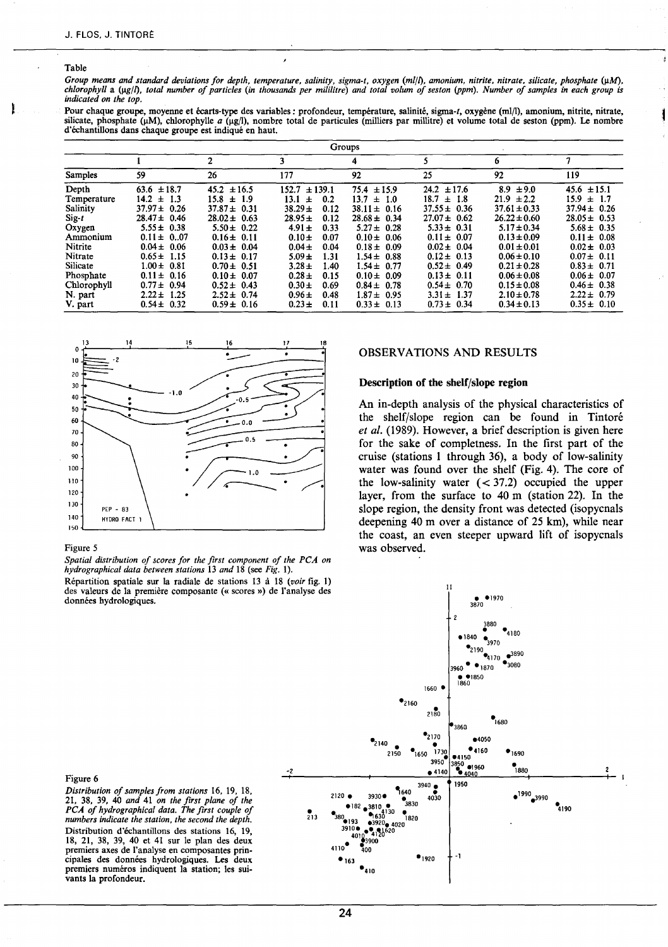# Table

Group means and standard deviations for depth, temperature, salinity, sigma-t, oxygen (ml/l), amonium, nitrite, nitrate, silicate, phosphate (μM),<br>chlorophyll a (μg/l), total number of particles (in thousands per mililitr *indicated on the top.* 

Pour chaque groupe, moyenne et écarts-type des variables: profondeur, température, salinité, sigma-t, oxygène (ml/l), amonium, nitrite, nitrate, silicate, phosphate ( $\mu$ M), chlorophylle *a* ( $\mu$ g/l), nombre total de particules (milliers par millitre) et volume total de seston (ppm). Le nombre d'échantillons dans chaque groupe est indiqué en haut.

| Groups                                                                           |                                                                                                                                   |                                                                                                                                   |                                                                                                                                                        |                                                                                                                                   |                                                                                                                                   |                                                                                                                                   |                                                                                                                                   |  |
|----------------------------------------------------------------------------------|-----------------------------------------------------------------------------------------------------------------------------------|-----------------------------------------------------------------------------------------------------------------------------------|--------------------------------------------------------------------------------------------------------------------------------------------------------|-----------------------------------------------------------------------------------------------------------------------------------|-----------------------------------------------------------------------------------------------------------------------------------|-----------------------------------------------------------------------------------------------------------------------------------|-----------------------------------------------------------------------------------------------------------------------------------|--|
|                                                                                  |                                                                                                                                   | 2                                                                                                                                 |                                                                                                                                                        | 4                                                                                                                                 |                                                                                                                                   | 6                                                                                                                                 |                                                                                                                                   |  |
| <b>Samples</b>                                                                   | 59                                                                                                                                | 26                                                                                                                                | 177                                                                                                                                                    | 92                                                                                                                                | 25                                                                                                                                | 92                                                                                                                                | 119                                                                                                                               |  |
| Depth<br>Temperature<br>Salinity<br>$\operatorname{Sig-t}$<br>Oxygen<br>Ammonium | $63.6 \pm 18.7$<br>$14.2 \pm 1.3$<br>$37.97 \pm 0.26$<br>$28.47 \pm 0.46$<br>$5.55 \pm 0.38$<br>$0.11 \pm 0.07$                   | $45.2 \pm 16.5$<br>$15.8 \pm 1.9$<br>$37.87 \pm 0.31$<br>$28.02 \pm 0.63$<br>$5.50 \pm 0.22$<br>$0.16 \pm 0.11$                   | 152.7<br>$\pm 139.1$<br>13.1<br>0.2<br>$\pm$<br>$38.29 \pm$<br>0.12<br>$28.95 \pm$<br>0.12<br>$4.91 \pm$<br>0.33<br>$0.10 \pm$<br>0.07                 | $75.4 \pm 15.9$<br>$13.7 \pm 1.0$<br>$38.11 \pm 0.16$<br>$28.68 \pm 0.34$<br>$5.27 \pm 0.28$<br>$0.10 \pm 0.06$                   | $24.2 \pm 17.6$<br>$18.7 \pm 1.8$<br>$37.55 \pm 0.36$<br>$27.07 \pm 0.62$<br>$5.33 \pm 0.31$<br>$0.11 \pm 0.07$                   | $8.9 \pm 9.0$<br>$21.9 \pm 2.2$<br>$37.61 \pm 0.33$<br>$26.22 \pm 0.60$<br>$5.17 \pm 0.34$<br>$0.13 \pm 0.09$                     | $45.6 \pm 15.1$<br>15.9<br>$\pm$ 1.7<br>$37.94 \pm 0.26$<br>$28.05 \pm 0.53$<br>$5.68 \pm 0.35$<br>$0.11 \pm 0.08$                |  |
| Nitrite<br>Nitrate<br>Silicate<br>Phosphate<br>Chlorophyll<br>N. part<br>V. part | $0.04 \pm 0.06$<br>$0.65 \pm 1.15$<br>$1.00 \pm 0.81$<br>$0.11 \pm 0.16$<br>$0.77 \pm 0.94$<br>$2.22 \pm 1.25$<br>$0.54 \pm 0.32$ | $0.03 \pm 0.04$<br>$0.13 \pm 0.17$<br>$0.70 \pm 0.51$<br>$0.10 \pm 0.07$<br>$0.52 \pm 0.43$<br>$2.52 \pm 0.74$<br>$0.59 \pm 0.16$ | $0.04 \pm$<br>0.04<br>$5.09 \pm$<br>1.31<br>$3.28 \pm$<br>1.40<br>$0.28 \pm$<br>0.15<br>$0.30 \pm$<br>0.69<br>$0.96 \pm$<br>0.48<br>$0.23 \pm$<br>0.11 | $0.18 \pm 0.09$<br>$1.54 \pm 0.88$<br>$1.54 \pm 0.77$<br>$0.10 \pm 0.09$<br>$0.84 \pm 0.78$<br>$1.87 \pm 0.95$<br>$0.33 \pm 0.13$ | $0.02 \pm 0.04$<br>$0.12 \pm 0.13$<br>$0.52 \pm 0.49$<br>$0.13 \pm 0.11$<br>$0.54 \pm 0.70$<br>$3.31 \pm 1.37$<br>$0.73 \pm 0.34$ | $0.01 \pm 0.01$<br>$0.06 \pm 0.10$<br>$0.21 \pm 0.28$<br>$0.06 \pm 0.08$<br>$0.15 \pm 0.08$<br>$2.10 \pm 0.78$<br>$0.34 \pm 0.13$ | $0.02 \pm 0.03$<br>$0.07 \pm 0.11$<br>$0.83 \pm 0.71$<br>$0.06 \pm 0.07$<br>$0.46 \pm 0.38$<br>$2.22 \pm 0.79$<br>$0.35 \pm 0.10$ |  |



### Figure 5

*Spatial distribution of scores for the first component of the PCA on hydrographical data between stations* 13 *and* 18 (see *Fig.* 1).

Répartition spatiale sur la radiale de stations 13 à 18 *(voir* fig. 1) des valeurs de la première composante («scores») de l'analyse des données hydrologiques.

# OBSERVATIONS AND RESULTS

# **Description of the shelf/slope region**

An in-depth analysis of the physical characteristics of the shelf/slope region can be found in Tintoré *et al.* (1989). However, a brief description is given here for the sake of completness. In the first part of the croise (stations **1** through 36), a body of 1ow-salinity water was found over the shelf (Fig. 4). The core of the low-salinity water  $( $37.2$ ) occupied the upper$ layer, from the surface to  $40 \text{ m}$  (station 22). In the slope region, the density front was detected (isopycnals deepening 40 m over a distance of  $25 \text{ km}$ ), while near the coast, an even steeper upward lift of isopycnals was observed.



### Figure 6

Distribution of samples from stations 16, 19, 18, 21, 38, 39, 40 *and* 41 *on the first plane of the PCA of hydrographical data. The first couple of numbers indicate the station, the second the depth.*  Distribution d'échantillons des stations 16, 19, 18, 21, 38, 39, 40 et 41 sur le plan des deux premiers axes de l'analyse en composantes principales des données hydrologiques. Les deux premiers numéros indiquent la station; les suivants la profondeur.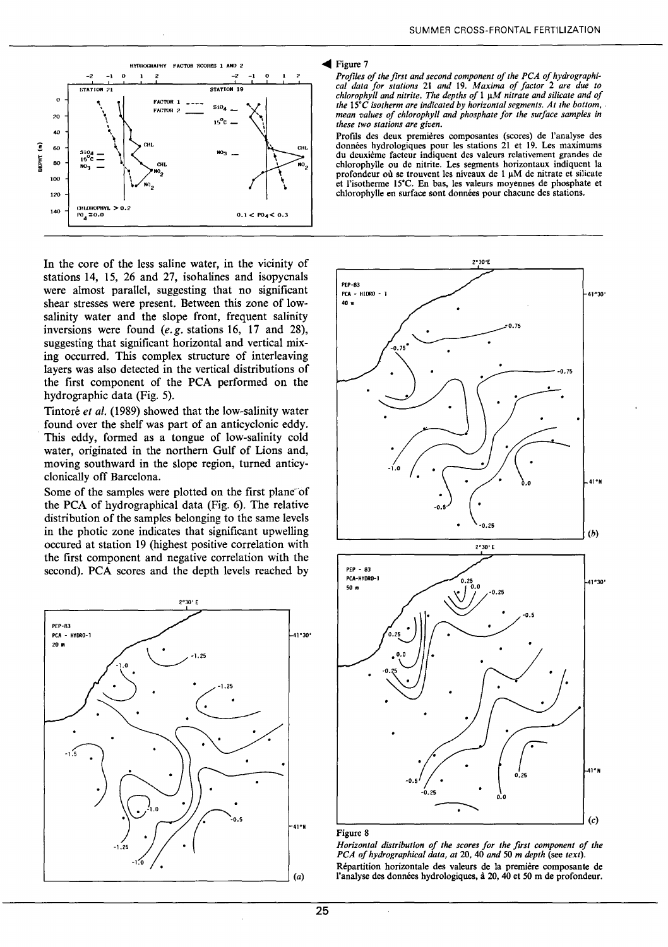

In the core of the less saline water, in the vicinity of stations 14, 15, 26 and 27, isohalines and isopycnals were almost parallel, suggesting that no significant shear stresses were present. Between this zone of lowsalinity water and the slope front, frequent salinity inversions were found *(e.g.* stations 16, 17 and 28), suggesting that significant horizontal and vertical mixing occurred. This complex structure of interleaving layers was also detected in the vertical distributions of the first component of the PCA performed on the hydrographie data (Fig. 5).

Tintoré *et al.* (1989) showed that the low-salinity water found over the shelf was part of an anticyclonic eddy. This eddy, formed as a tongue of low-salinity cold water, originated in the northem Gulf of Lions and, moving southward in the slope region, turned anticyclonically off Barcelona.

Some of the samples were plotted on the first plane of the PCA of hydrographical data (Fig. 6). The relative distribution of the samples belonging to the same levels in the photic zone indicates that significant upwelling occured at station 19 (highest positive correlation with the first component and negative correlation with the second). PCA scores and the depth levels reached by



### $\blacktriangleleft$  Figure 7

*Profiles of the first and second component of the PCA of hydrographical data for stations* 21 *and* 19. *Maxima of factor* 2 *are due to chlorophyll and nitrite. The depths of* 1 *J.!M nitrate and silicate and of the* 15•c *isotherm are indicated by horizontal segments. At the bottom, mean values of chlorophyll and phosphate for the surface samples in these two stations are given.* 

Profils des deux premières composantes (scores) de l'analyse des données hydrologiques pour les stations 21 et 19. Les maximums du deuxième facteur indiquent des valeurs relativement grandes de chlorophylle ou de nitrite. Les segments horizontaux indiquent la profondeur où se trouvent les niveaux de  $1 \mu M$  de nitrate et silicate et l'isotherme 15•c. En bas, les valeurs moyennes de phosphate et chlorophylle en surface sont données pour chacune des stations.



 $\bar{z}$ 

*Horizontal distribution of the scores for the first component of the PCA of hydrographical data, at* 20, 40 *and* 50 *m depth* (see *text).*  Répartition horizontale des valeurs de la première composante de l'analyse des données hydrologiques, à 20, 40 et 50 m de profondeur.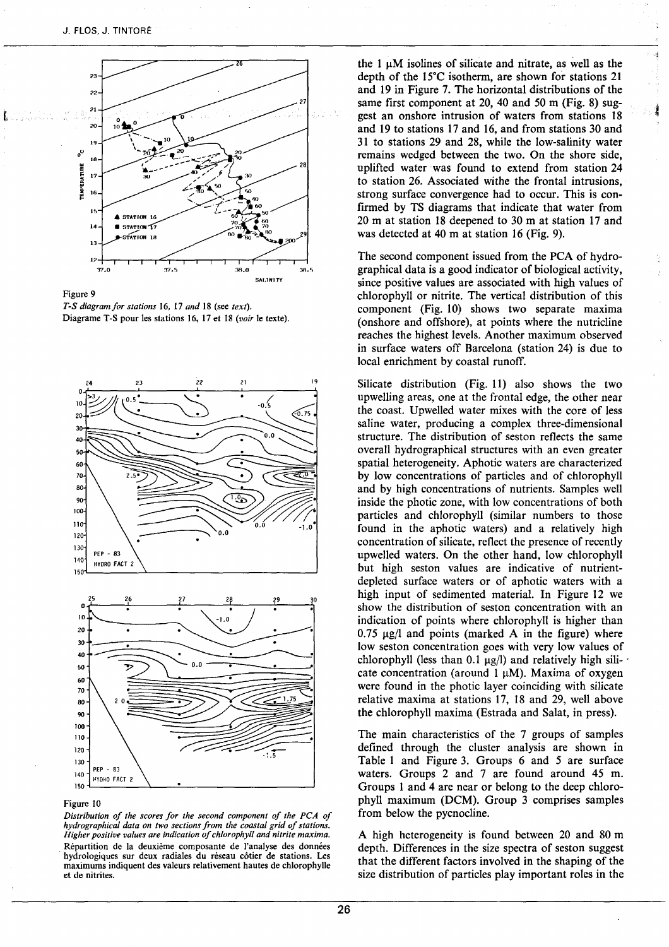

Figure 9 *T-S diagramfor stations* 16, 17 *and* 18 (see *text).*  Diagrame T-S pour les stations 16, 17 et 18 (voir le texte).



### Figure lO

*Distribution of the scores for the second component of the PCA of*  hydrographical data on two sections from the coastal grid of stations. *Higher positive values are indication of chlorophyll and nitrite maxima.*  Répartition de la deuxième composante de l'analyse des données hydrologiques sur deux radiales du réseau côtier de stations. Les maximums indiquent des valeurs relativement hautes de chlorophylle et de nitrites.

the  $1 \mu M$  isolines of silicate and nitrate, as well as the depth of the  $15^{\circ}$ C isotherm, are shown for stations 21 and 19 in Figure 7. The horizontal distributions of the same first component at 20, 40 and 50 m (Fig. 8) suggest an onshore intrusion of waters from stations 18 and 19 to stations 17 and 16, and from stations 30 and 31 to stations 29 and 28, white the low-salinity water remains wedged between the two. On the shore side, uplifted water was found to extend from station 24 to station 26. Associated withe the frontal intrusions, strong surface convergence had to occur. This is confirmed by TS diagrams that indicate that water from  $20 \text{ m}$  at station 18 deepened to 30 m at station 17 and was detected at 40 m at station 16 (Fig. 9).

The second component issued from the PCA of hydrographical data is a good indicator of biological activity, since positive values are associated with high values of chlorophyll or nitrite. The vertical distribution of this component (Fig. 10) shows two separate maxima (onshore and offshore), at points where the nutricline reaches the highest levels. Another maximum observed in surface waters off Barcelona (station 24) is due to local enrichment by coastal runoff.

Silicate distribution (Fig. 11) also shows the two upwelling areas, one at the frontal edge, the other near the coast. Upweiled water mixes with the core of less saline water, producing a complex three-dimensional structure. The distribution of seston reflects the same overall hydrographical structures with an even greater spatial heterogeneity. Aphotic waters are characterized by low concentrations of particles and of chlorophyil and by high concentrations of nutrients. Samples weil inside the photic zone, with low concentrations of both particles and chlorophyil (similar numbers to those found in the aphotic waters) and a relatively high concentration of silicate, reflect the presence of recently upwelled waters. On the other band, low chlorophyll but high seston values are indicative of nutrientdepleted surface waters or of aphotic waters with a high input of sedimented material. In Figure 12 we show the distribution of seston concentration with an indication of points where chlorophyll is higher than  $0.75 \mu g/l$  and points (marked A in the figure) where low seston concentration goes with very low values of chlorophyll (less than 0.1  $\mu$ g/l) and relatively high silicate concentration (around  $1 \mu M$ ). Maxima of oxygen were found in the photic layer coinciding with silicate relative maxima at stations 17, 18 and 29, weil above the chlorophyll maxima (Estrada and Salat, in press).

The main characteristics of the 7 groups of samples defined through the cluster analysis are shown in Table 1 and Figure 3. Groups 6 and 5 are surface waters. Groups 2 and 7 are found around 45 m. Groups 1 and 4 are near or belong to the deep chlorophyll maximum (DCM). Group 3 comprises samples from below the pycnocline.

A high heterogeneity is found between 20 and 80 rn depth. Differences in the size spectra of seston suggest that the different factors involved in the shaping of the size distribution of particles play important roles in the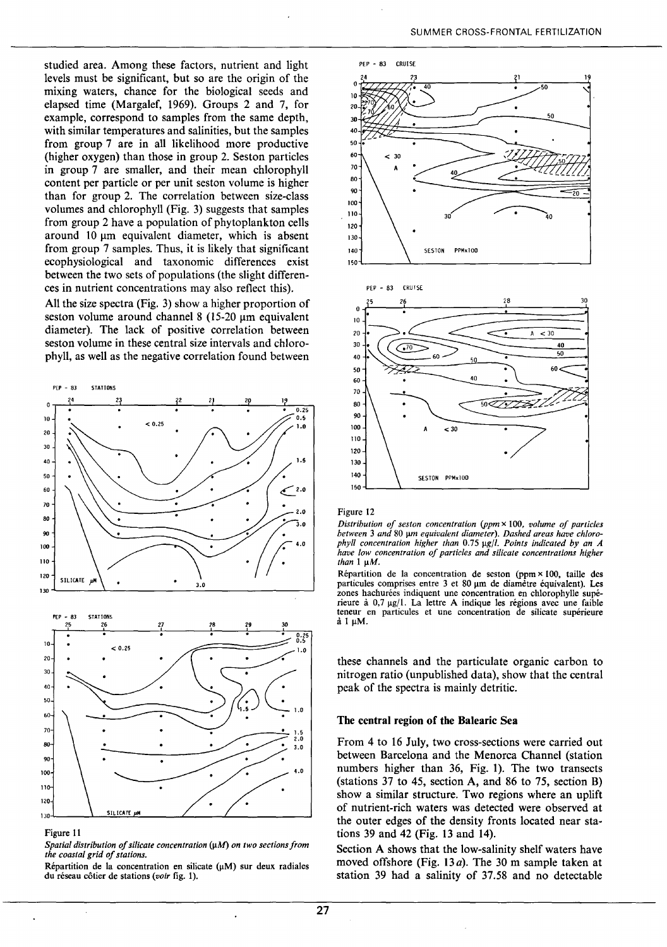studied area. Among these factors, nutrient and light levels must be significant, but so are the origin of the mixing waters, chance for the biological seeds and elapsed time (Margalef, 1969). Groups 2 and 7, for example, correspond to samples from the same depth, with similar temperatures and salinities, but the samples from group 7 are in ali likelihood more productive (higher oxygen) than those in group 2. Seston particles in group 7 are smaller, and their mean chlorophyll content per particle or per unit seston volume is higher than for group 2. The correlation between size-class volumes and chlorophyll (Fig. 3) suggests that samples from group 2 have a population of phytoplankton cells around 10  $\mu$ m equivalent diameter, which is absent from group 7 samples. Thus, it is likely that significant ecophysiological and taxonomie differences exist between the two sets of populations (the slight differences in nutrient concentrations may also reflect this).

Ali the size spectra (Fig. 3) show a higher proportion of seston volume around channel  $8(15-20 \mu m)$  equivalent diameter). The lack of positive correlation between seston volume in these central size intervals and chlorophyll, as well as the negative correlation found between



### Figure Il

*Spatial distribution of silicate concentration* {11M) *on two sections from the coastal grid of stations.* 

Répartition de la concentration en silicate  $(\mu M)$  sur deux radiales du réseau côtier de stations *(voir* fig. 1).



# Figure 12

*Distribution of ses ton concentration (ppm* x 100, *volume of partie/es*  between 3 and 80 µm equivalent diameter). Dashed areas have chloro*phyll concentration higher than 0.75*  $\mu$ *g/l. Points indicated by an A have low concentration of partie/es and silicate concentrations higher than* 1  $\mu$ *M*.

Répartition de la concentration de seston (ppm  $\times$  100, taille des particules comprises entre 3 et 80 µm de diamètre équivalent). Les zones hachurées indiquent une concentration en chlorophylle supérieure à  $0.7 \text{ µg}/1$ . La lettre A indique les régions avec une faible teneur en particules et une concentration de silicate supérieure  $\dot{a}$  1  $\mu$ M.

these channels and the particulate organic carbon to nitrogen ratio (unpublished data), show that the central peak of the spectra is mainly detritic.

# **The central region of the Balearic** Sea

From 4 to 16 July, two cross-sections were carried out between Barcelona and the Menorca Channel (station numbers higher than 36, Fig. 1). The two transects (stations 37 to 45, section A, and 86 to 75, section B) show a similar structure. Two regions where an uplift of nutrient-rich waters was detected were observed at the outer edges of the density fronts located near stations 39 and 42 (Fig. 13 and **14).** 

Section A shows that the low-salinity shelf waters have moved offshore (Fig. 13*a*). The 30 m sample taken at station 39 had a salinity of 37.58 and no detectable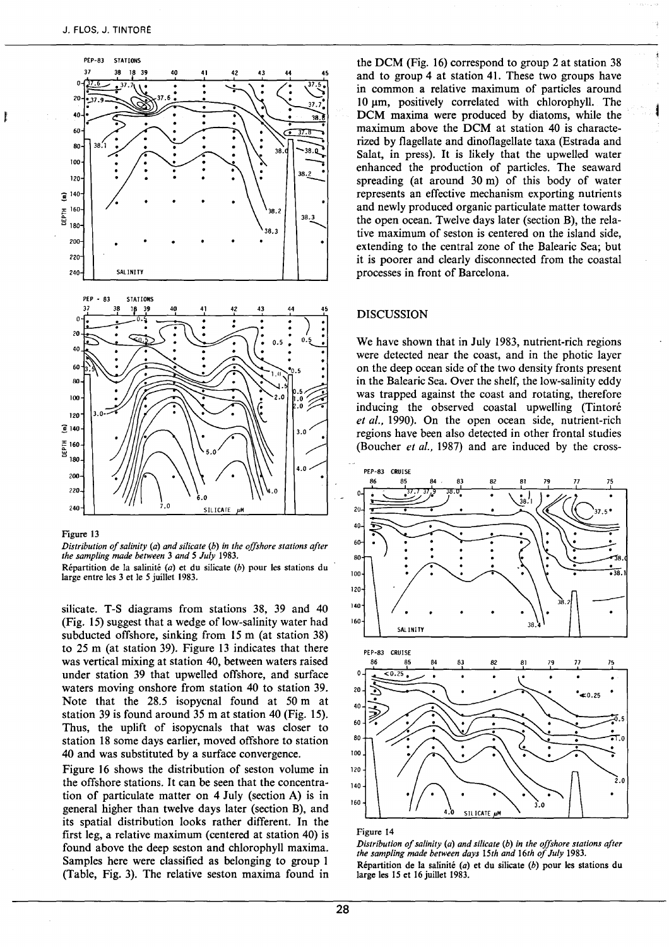

### Figure 13

*Distribution of salinity* (a) *and silicate* (b) *in the offshore stations after the sampling made between* 3 *and 5 July* 1983.

Répartition de la salinité (a) et du silicate (b) pour les stations du large entre les 3 et le 5 juillet 1983.

silicate. T-S diagrams from stations 38, 39 and 40 (Fig. 15) suggest that a wedge of low-salinity water had subducted offshore, sinking from 15 m (at station 38) to 25 m (at station 39). Figure 13 indicates that there was vertical mixing at station 40, between waters raised under station 39 that upwelled offshore, and surface waters moving onshore from station 40 to station 39. Note that the  $28.5$  isopycnal found at  $50 \text{ m}$  at station 39 is found around 35 m at station 40 (Fig. 15). Thus, the uplift of isopycnals that was doser to station 18 sorne days earlier, moved offshore to station 40 and was substituted by a surface convergence.

Figure 16 shows the distribution of seston volume in the offshore stations. It can be seen that the concentration of particulate matter on 4 July (section A) is in general higher than twelve days later (section B), and its spatial distribution looks rather different. In the first leg, a relative maximum (centered at station 40) is found above the deep seston and chlorophyll maxima. Samples here were classified as belonging to group 1 (Table, Fig. 3). The relative seston maxima found in

the DCM (Fig. 16) correspond to group 2 at station 38 and to group 4 at station 41. These two groups have in common a relative maximum of particles around 10 µm, positively correlated with chlorophyll. The DCM maxima were produced by diatoms, while the maximum above the DCM at station 40 is characterized by flagellate and dinoflagellate taxa (Estrada and Salat, in press). It is likely that the upwelled water enhanced the production of particles. The seaward spreading (at around 30 m) of this body of water represents an effective mechanism exporting nutrients and new1y produced organic particulate matter towards the open ocean. Twelve days later (section B), the relative maximum of seston is centered on the island side, extending to the central zone of the Balearic Sea; but it is poorer and clearly disconnected from the coastal processes in front of Barcelona.

# DISCUSSION

We have shown that in July 1983, nutrient-rich regions were detected near the coast, and in the photic layer on the deep ocean side of the two density fronts present in the Balearic Sea. Over the shelf, the low-salinity eddy was trapped against the coast and rotating, therefore inducing the observed coastal upwelling (Tintoré *et al.,* 1990). On the open ocean side, nutrient-rich regions have been also detected in other frontal studies (Boucher *et al.,* 1987) and are induced by the cross-



### Figure 14

*Distribution of salinity* (a) *and silicate* (b) *in the offshore stations after the sampling made between days 15th and 16th of July* 1983. Répartition de la salinité (a) et du silicate (b) pour les stations du large les 15 et 16 juillet 1983.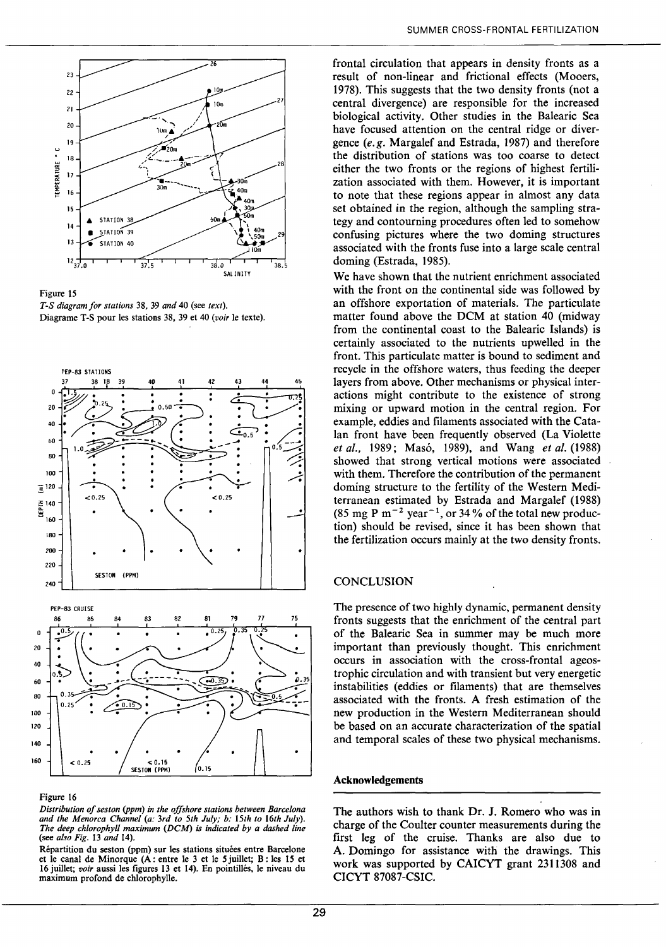

Figure 15 *T-S diagram for stations* 38, 39 *and* 40 (see *text).*  Diagrame T -S pour les stations 38, 39 et 40 *(voir* le texte).



# Figure 16

*Distribution of seston (ppm) in the offshore stations between Barce/ona*  and the Menorca Channel (a: 3rd to 5th July; b: 15th to 16th July). *The deep ch/orophy/1 maximum (DCM) is indicated by a dashed fine*  (see *also Fig.* 13 *and* 14).

Répartition du seston (ppm) sur les stations situées entre Barcelone et le canal de Minorque (A: entre le 3 et le *5* juillet; B: les 15 et 16 juillet; *voir* aussi les figures 13 et 14). En pointillés, le niveau du maximum profond de chlorophylle.

frontal circulation that appears in density fronts as a result of non-linear and frictional effects (Mooers, 1978). This suggests that the two density fronts (not a central divergence) are responsible for the increased biological activity. Other studies in the Balearic Sea have focused attention on the central ridge or divergence (e.g. Margalef and Estrada, 1987) and therefore the distribution of stations was too coarse to detect either the two fronts or the regions of highest fertilization associated with them. However, it is important to note that these regions appear in almost any data set obtained in the region, although the sampling strategy and contourning procedures often led to somehow confusing pictures where the two doming structures associated with the fronts fuse into a large scale central doming (Estrada, 1985).

We have shown that the nutrient enrichment associated with the front on the continental side was followed by an offshore exportation of materials. The particulate matter found above the DCM at station 40 (midway from the continental coast to the Balearic Islands) is certainly associated to the nutrients upwelled in the front. This particulate matter is bound to sediment and recycle in the offshore waters, thus feeding the deeper 1ayers from above. Other mechanisms or physical interactions might contribute to the existence of strong mixing or upward motion in the central region. For example, eddies and filaments associated with the Catalan front have been frequently observed (La Violette *et al.,* 1989; Masó, 1989), and Wang *et al.* (1988) showed that strong vertical motions were associated with them. Therefore the contribution of the permanent doming structure to the fertility of the Western Mediterranean estimated by Estrada and Margalef ( 1988) (85 mg P  $m^{-2}$  year<sup>-1</sup>, or 34% of the total new production) should be revised, since it has been shown that the fertilization occurs mainly at the two density fronts.

# **CONCLUSION**

The presence of two highly dynamic, permanent density fronts suggests that the enrichment of the central part of the Balearic Sea in summer may be much more important than previously thought. This enrichment occurs in association with the cross-frontal ageostrophic circulation and with transient but very energetic instabilities (eddies or filaments) that are themselves associated with the fronts. A fresh estimation of the new production in the Western Mediterranean should be based on an accurate characterization of the spatial and temporal scales of these two physical mechanisms.

# **Acknowledgements**

The authors wish to thank Dr. **J.** Romero who was in charge of the Coulter counter measurements during the first leg of the emise. Thanks are also due to A. Domingo for assistance with the drawings. This work was supported by CAICYT grant 2311308 and CICYT 87087-CSIC.